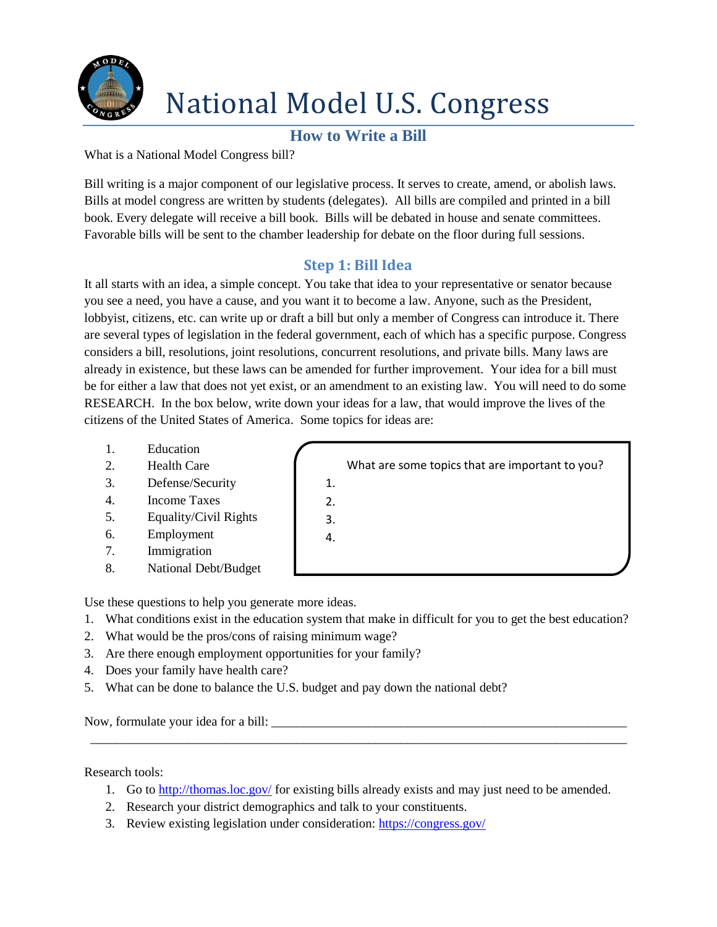

## National Model U.S. Congress

## **How to Write a Bill**

What is a National Model Congress bill?

Bill writing is a major component of our legislative process. It serves to create, amend, or abolish laws. Bills at model congress are written by students (delegates). All bills are compiled and printed in a bill book. Every delegate will receive a bill book. Bills will be debated in house and senate committees. Favorable bills will be sent to the chamber leadership for debate on the floor during full sessions.

### **Step 1: Bill Idea**

It all starts with an idea, a simple concept. You take that idea to your representative or senator because you see a need, you have a cause, and you want it to become a law. Anyone, such as the President, lobbyist, citizens, etc. can write up or draft a bill but only a member of Congress can introduce it. There are several types of legislation in the federal government, each of which has a specific purpose. Congress considers a bill, resolutions, joint resolutions, concurrent resolutions, and private bills. Many laws are already in existence, but these laws can be amended for further improvement. Your idea for a bill must be for either a law that does not yet exist, or an amendment to an existing law. You will need to do some RESEARCH. In the box below, write down your ideas for a law, that would improve the lives of the citizens of the United States of America. Some topics for ideas are:

- 1. Education
- 2. Health Care
- 3. Defense/Security
- 4. Income Taxes
- 5. Equality/Civil Rights
- 6. Employment
- 7. Immigration
- 8. National Debt/Budget

Use these questions to help you generate more ideas.

- 1. What conditions exist in the education system that make in difficult for you to get the best education?
- 2. What would be the pros/cons of raising minimum wage?
- 3. Are there enough employment opportunities for your family?
- 4. Does your family have health care?
- 5. What can be done to balance the U.S. budget and pay down the national debt?

Now, formulate your idea for a bill:

Research tools:

1. Go to<http://thomas.loc.gov/> for existing bills already exists and may just need to be amended.

\_\_\_\_\_\_\_\_\_\_\_\_\_\_\_\_\_\_\_\_\_\_\_\_\_\_\_\_\_\_\_\_\_\_\_\_\_\_\_\_\_\_\_\_\_\_\_\_\_\_\_\_\_\_\_\_\_\_\_\_\_\_\_\_\_\_\_\_\_\_\_\_\_\_\_\_\_\_\_\_\_\_\_

- 2. Research your district demographics and talk to your constituents.
- 3. Review existing legislation under consideration:<https://congress.gov/>

|    | What are some topics that are important to you? |
|----|-------------------------------------------------|
| 1. |                                                 |
| 2. |                                                 |
| 3. |                                                 |
|    |                                                 |
|    |                                                 |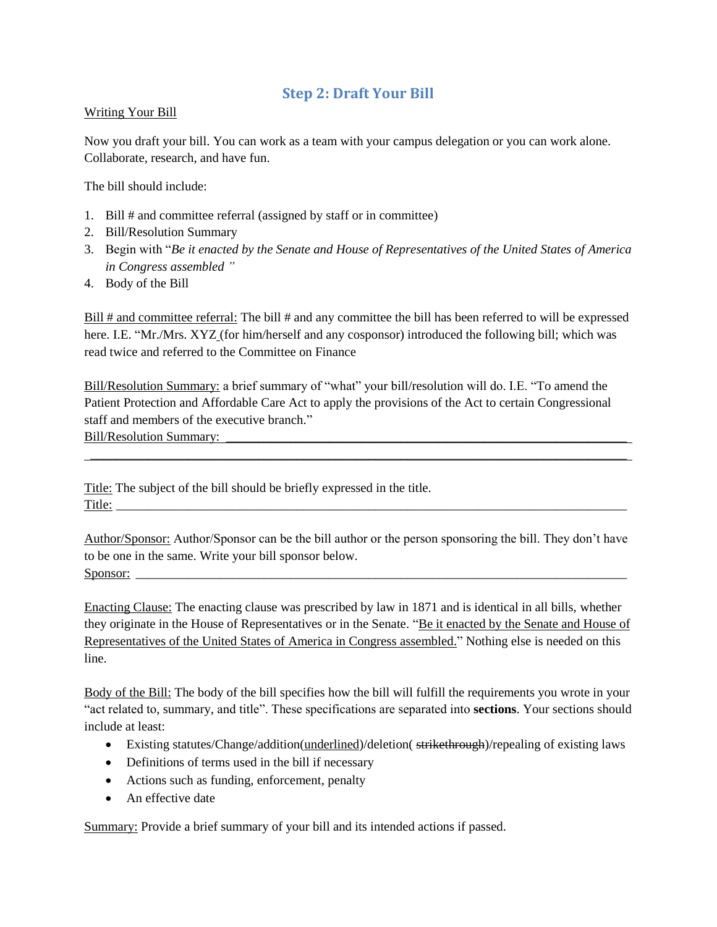#### **Step 2: Draft Your Bill**

#### Writing Your Bill

Now you draft your bill. You can work as a team with your campus delegation or you can work alone. Collaborate, research, and have fun.

The bill should include:

- 1. Bill # and committee referral (assigned by staff or in committee)
- 2. Bill/Resolution Summary
- 3. Begin with "*Be it enacted by the Senate and House of Representatives of the United States of America in Congress assembled "*
- 4. Body of the Bill

Bill # and committee referral: The bill # and any committee the bill has been referred to will be expressed here. I.E. "Mr./Mrs. XYZ (for him/herself and any cosponsor) introduced the following bill; which was read twice and referred to the Committee on Finance

Bill/Resolution Summary: a brief summary of "what" your bill/resolution will do. I.E. "To amend the Patient Protection and Affordable Care Act to apply the provisions of the Act to certain Congressional staff and members of the executive branch." Bill/Resolution Summary:

\_\_\_\_\_\_\_\_\_\_\_\_\_\_\_\_\_\_\_\_\_\_\_\_\_\_\_\_\_\_\_\_\_\_\_\_\_\_\_\_\_\_\_\_\_\_\_\_\_\_\_\_\_\_\_\_\_\_\_\_\_\_\_\_\_\_\_\_\_\_\_\_\_\_\_\_\_\_\_\_\_\_\_

Title: The subject of the bill should be briefly expressed in the title. Title:

Author/Sponsor: Author/Sponsor can be the bill author or the person sponsoring the bill. They don't have to be one in the same. Write your bill sponsor below. Sponsor: \_\_\_\_\_\_\_\_\_\_\_\_\_\_\_\_\_\_\_\_\_\_\_\_\_\_\_\_\_\_\_\_\_\_\_\_\_\_\_\_\_\_\_\_\_\_\_\_\_\_\_\_\_\_\_\_\_\_\_\_\_\_\_\_\_\_\_\_\_\_\_\_\_\_\_\_

Enacting Clause: The enacting clause was prescribed by law in 1871 and is identical in all bills, whether they originate in the House of Representatives or in the Senate. "Be it enacted by the Senate and House of Representatives of the United States of America in Congress assembled." Nothing else is needed on this line.

Body of the Bill: The body of the bill specifies how the bill will fulfill the requirements you wrote in your "act related to, summary, and title". These specifications are separated into **sections**. Your sections should include at least:

- Existing statutes/Change/addition(underlined)/deletion( strikethrough)/repealing of existing laws
- Definitions of terms used in the bill if necessary
- Actions such as funding, enforcement, penalty
- An effective date

Summary: Provide a brief summary of your bill and its intended actions if passed.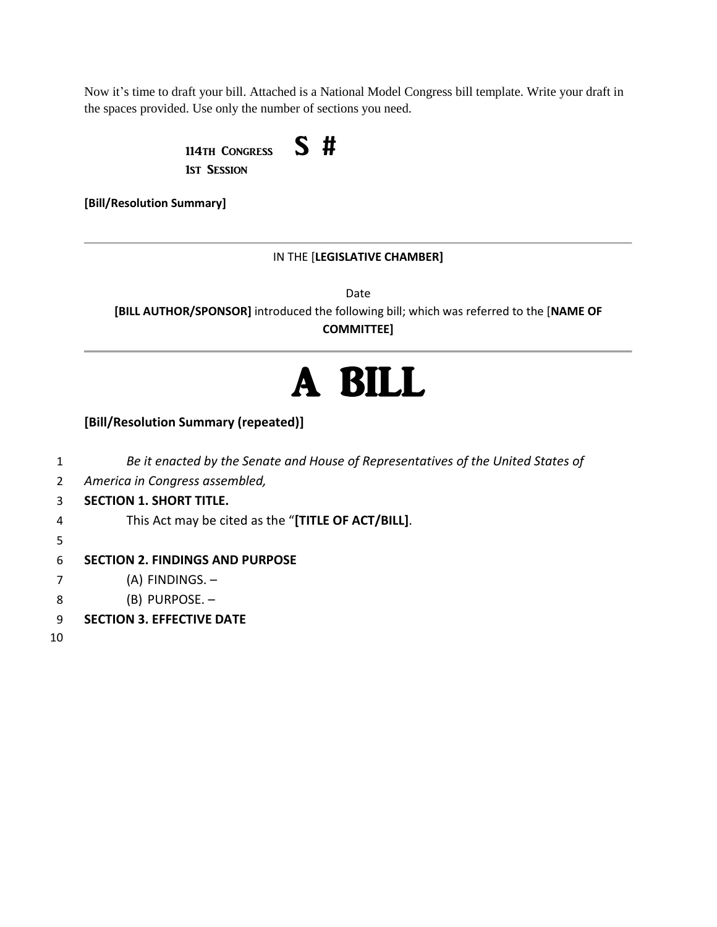Now it's time to draft your bill. Attached is a National Model Congress bill template. Write your draft in the spaces provided. Use only the number of sections you need.

> 114th Congress  $S$  # 1st Session

**[Bill/Resolution Summary]**

#### IN THE [**LEGISLATIVE CHAMBER]**

Date **[BILL AUTHOR/SPONSOR]** introduced the following bill; which was referred to the [**NAME OF COMMITTEE]**

# A BILL

**[Bill/Resolution Summary (repeated)]**

 *Be it enacted by the Senate and House of Representatives of the United States of America in Congress assembled,* **SECTION 1. SHORT TITLE.** This Act may be cited as the "**[TITLE OF ACT/BILL]**. 5 **SECTION 2. FINDINGS AND PURPOSE** (A) FINDINGS. – (B) PURPOSE. – **SECTION 3. EFFECTIVE DATE** 10